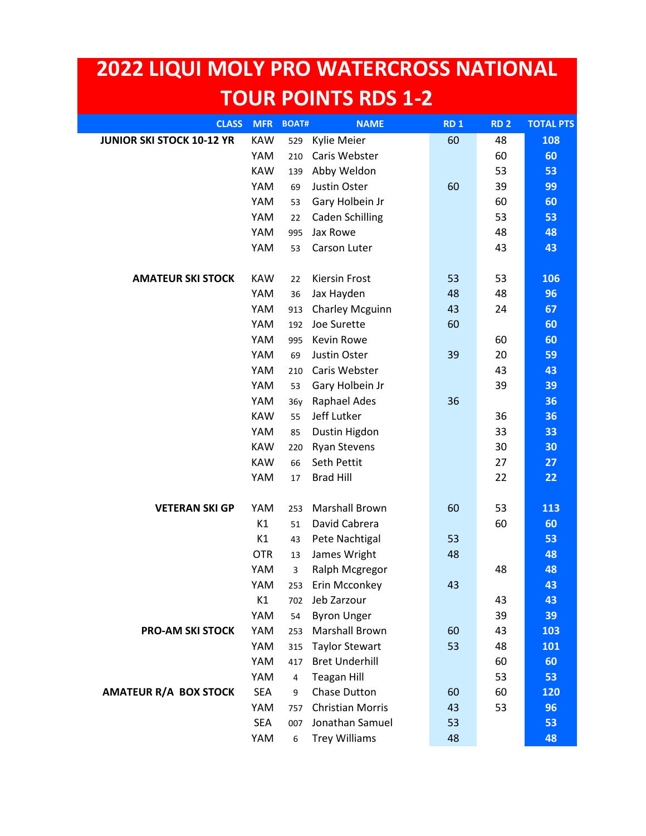## **2022 LIQUI MOLY PRO WATERCROSS NATIONAL TOUR POINTS RDS 1-2**

| <b>CLASS</b>                     | <b>MFR</b> | <b>BOAT#</b> | <b>NAME</b>             | <b>RD1</b> | <b>RD 2</b> | <b>TOTAL PTS</b> |
|----------------------------------|------------|--------------|-------------------------|------------|-------------|------------------|
| <b>JUNIOR SKI STOCK 10-12 YR</b> | <b>KAW</b> | 529          | Kylie Meier             | 60         | 48          | 108              |
|                                  | YAM        | 210          | Caris Webster           |            | 60          | 60               |
|                                  | <b>KAW</b> | 139          | Abby Weldon             |            | 53          | 53               |
|                                  | YAM        | 69           | Justin Oster            | 60         | 39          | 99               |
|                                  | YAM        | 53           | Gary Holbein Jr         |            | 60          | 60               |
|                                  | YAM        | 22           | <b>Caden Schilling</b>  |            | 53          | 53               |
|                                  | YAM        | 995          | Jax Rowe                |            | 48          | 48               |
|                                  | YAM        | 53           | Carson Luter            |            | 43          | 43               |
|                                  |            |              |                         |            |             |                  |
| <b>AMATEUR SKI STOCK</b>         | <b>KAW</b> | 22           | Kiersin Frost           | 53         | 53          | 106              |
|                                  | YAM        | 36           | Jax Hayden              | 48         | 48          | 96               |
|                                  | YAM        | 913          | <b>Charley Mcguinn</b>  | 43         | 24          | 67               |
|                                  | YAM        | 192          | Joe Surette             | 60         |             | 60               |
|                                  | YAM        | 995          | Kevin Rowe              |            | 60          | 60               |
|                                  | YAM        | 69           | Justin Oster            | 39         | 20          | 59               |
|                                  | YAM        | 210          | Caris Webster           |            | 43          | 43               |
|                                  | YAM        | 53           | Gary Holbein Jr         |            | 39          | 39               |
|                                  | YAM        | 36y          | Raphael Ades            | 36         |             | 36               |
|                                  | <b>KAW</b> | 55           | Jeff Lutker             |            | 36          | 36               |
|                                  | YAM        | 85           | Dustin Higdon           |            | 33          | 33               |
|                                  | <b>KAW</b> | 220          | <b>Ryan Stevens</b>     |            | 30          | 30               |
|                                  | <b>KAW</b> | 66           | Seth Pettit             |            | 27          | 27               |
|                                  | YAM        | 17           | <b>Brad Hill</b>        |            | 22          | 22               |
|                                  |            |              |                         |            |             |                  |
| <b>VETERAN SKI GP</b>            | YAM        | 253          | <b>Marshall Brown</b>   | 60         | 53          | 113              |
|                                  | K1         | 51           | David Cabrera           |            | 60          | 60               |
|                                  | K1         | 43           | Pete Nachtigal          | 53         |             | 53               |
|                                  | <b>OTR</b> | 13           | James Wright            | 48         |             | 48               |
|                                  | YAM        | 3            | Ralph Mcgregor          |            | 48          | 48               |
|                                  | <b>YAM</b> | 253          | Erin Mcconkey           | 43         |             | 43               |
|                                  | K1         | 702          | Jeb Zarzour             |            | 43          | 43               |
|                                  | YAM        | 54           | <b>Byron Unger</b>      |            | 39          | 39               |
| <b>PRO-AM SKI STOCK</b>          | YAM        | 253          | <b>Marshall Brown</b>   | 60         | 43          | 103              |
|                                  | YAM        | 315          | <b>Taylor Stewart</b>   | 53         | 48          | 101              |
|                                  | YAM        | 417          | <b>Bret Underhill</b>   |            | 60          | 60               |
|                                  | YAM        | 4            | <b>Teagan Hill</b>      |            | 53          | 53               |
| <b>AMATEUR R/A BOX STOCK</b>     | <b>SEA</b> | 9            | <b>Chase Dutton</b>     | 60         | 60          | 120              |
|                                  | YAM        | 757          | <b>Christian Morris</b> | 43         | 53          | 96               |
|                                  | <b>SEA</b> | 007          | Jonathan Samuel         | 53         |             | 53               |
|                                  | YAM        | 6            | <b>Trey Williams</b>    | 48         |             | 48               |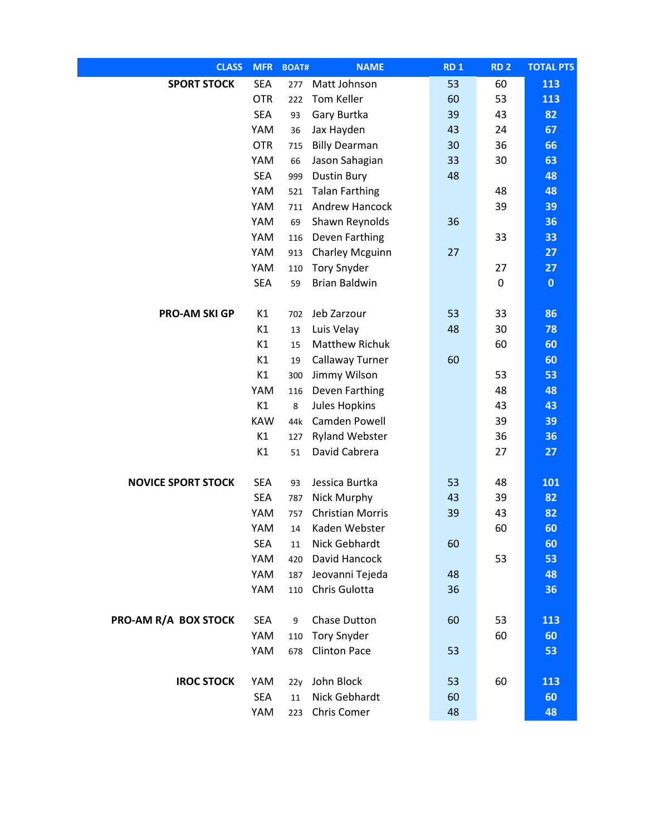| <b>CLASS</b>              | <b>MFR</b>       | <b>BOAT#</b> | <b>NAME</b>                            | <b>RD1</b> | <b>RD 2</b> | <b>TOTAL PTS</b> |
|---------------------------|------------------|--------------|----------------------------------------|------------|-------------|------------------|
| <b>SPORT STOCK</b>        | <b>SEA</b>       | 277          | Matt Johnson                           | 53         | 60          | 113              |
|                           | <b>OTR</b>       | 222          | Tom Keller                             | 60         | 53          | 113              |
|                           | <b>SEA</b>       | 93           | Gary Burtka                            | 39         | 43          | 82               |
|                           | YAM              | 36           | Jax Hayden                             | 43         | 24          | 67               |
|                           | <b>OTR</b>       | 715          | <b>Billy Dearman</b>                   | 30         | 36          | 66               |
|                           | YAM              | 66           | Jason Sahagian                         | 33         | 30          | 63               |
|                           | <b>SEA</b>       | 999          | <b>Dustin Bury</b>                     | 48         |             | 48               |
|                           | YAM              | 521          | <b>Talan Farthing</b>                  |            | 48          | 48               |
|                           | YAM              | 711          | Andrew Hancock                         |            | 39          | 39               |
|                           | YAM              | 69           | Shawn Reynolds                         | 36         |             | 36               |
|                           | YAM              | 116          | Deven Farthing                         |            | 33          | 33               |
|                           | YAM              | 913          | <b>Charley Mcguinn</b>                 | 27         |             | 27               |
|                           | YAM              | 110          | <b>Tory Snyder</b>                     |            | 27          | 27               |
|                           | <b>SEA</b>       | 59           | <b>Brian Baldwin</b>                   |            | 0           | $\mathbf 0$      |
|                           |                  |              |                                        |            |             |                  |
| <b>PRO-AM SKI GP</b>      | K1               | 702          | Jeb Zarzour                            | 53         | 33          | 86               |
|                           | K1               | 13           | Luis Velay                             | 48         | 30          | 78               |
|                           | K1               | 15           | <b>Matthew Richuk</b>                  |            | 60          | 60               |
|                           | K1               | 19           | Callaway Turner                        | 60         |             | 60               |
|                           | K1               | 300          | Jimmy Wilson                           |            | 53          | 53               |
|                           | YAM              | 116          | Deven Farthing                         |            | 48          | 48               |
|                           | K1               | 8            | <b>Jules Hopkins</b>                   |            | 43          | 43               |
|                           | <b>KAW</b><br>K1 | 44k          | Camden Powell                          |            | 39<br>36    | 39<br>36         |
|                           | K1               | 127<br>51    | <b>Ryland Webster</b><br>David Cabrera |            | 27          | 27               |
|                           |                  |              |                                        |            |             |                  |
| <b>NOVICE SPORT STOCK</b> | <b>SEA</b>       | 93           | Jessica Burtka                         | 53         | 48          | 101              |
|                           | <b>SEA</b>       | 787          | Nick Murphy                            | 43         | 39          | 82               |
|                           | YAM              | 757          | <b>Christian Morris</b>                | 39         | 43          | 82               |
|                           | YAM              | 14           | Kaden Webster                          |            | 60          | 60               |
|                           | <b>SEA</b>       | 11           | Nick Gebhardt                          | 60         |             | 60               |
|                           | YAM              | 420          | David Hancock                          |            | 53          | 53               |
|                           | YAM              | 187          | Jeovanni Tejeda                        | 48         |             | 48               |
|                           | YAM              | 110          | Chris Gulotta                          | 36         |             | 36               |
|                           |                  |              |                                        |            |             |                  |
| PRO-AM R/A BOX STOCK      | <b>SEA</b>       | 9            | Chase Dutton                           | 60         | 53          | 113              |
|                           | YAM              | 110          | <b>Tory Snyder</b>                     |            | 60          | 60               |
|                           | YAM              | 678          | <b>Clinton Pace</b>                    | 53         |             | 53               |
| <b>IROC STOCK</b>         | YAM              | 22y          | John Block                             | 53         | 60          | 113              |
|                           | <b>SEA</b>       | 11           | Nick Gebhardt                          | 60         |             | 60               |
|                           | YAM              | 223          | Chris Comer                            | 48         |             | 48               |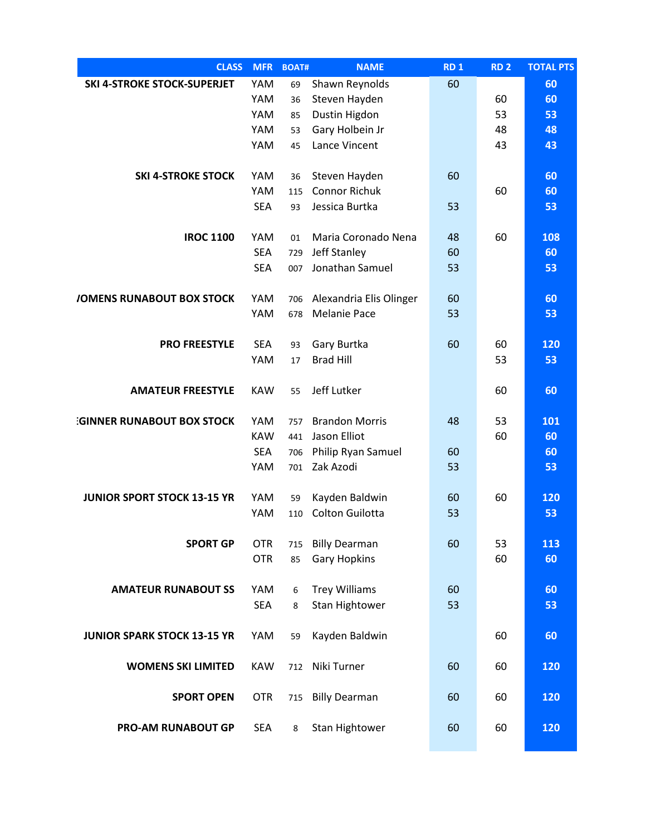| <b>CLASS</b>                       | <b>MFR</b> | <b>BOAT#</b> | <b>NAME</b>             | RD <sub>1</sub> | <b>RD 2</b> | <b>TOTAL PTS</b> |
|------------------------------------|------------|--------------|-------------------------|-----------------|-------------|------------------|
| <b>SKI 4-STROKE STOCK-SUPERJET</b> | YAM        | 69           | Shawn Reynolds          | 60              |             | 60               |
|                                    | YAM        | 36           | Steven Hayden           |                 | 60          | 60               |
|                                    | YAM        | 85           | Dustin Higdon           |                 | 53          | 53               |
|                                    | YAM        | 53           | Gary Holbein Jr         |                 | 48          | 48               |
|                                    | YAM        | 45           | Lance Vincent           |                 | 43          | 43               |
| <b>SKI 4-STROKE STOCK</b>          | YAM        | 36           | Steven Hayden           | 60              |             | 60               |
|                                    | YAM        | 115          | <b>Connor Richuk</b>    |                 | 60          | 60               |
|                                    | <b>SEA</b> | 93           | Jessica Burtka          | 53              |             | 53               |
|                                    |            |              |                         |                 |             |                  |
| <b>IROC 1100</b>                   | YAM        | 01           | Maria Coronado Nena     | 48              | 60          | 108              |
|                                    | <b>SEA</b> | 729          | Jeff Stanley            | 60              |             | 60               |
|                                    | <b>SEA</b> | 007          | Jonathan Samuel         | 53              |             | 53               |
| <b>/OMENS RUNABOUT BOX STOCK</b>   | YAM        | 706          | Alexandria Elis Olinger | 60              |             | 60               |
|                                    | YAM        | 678          | <b>Melanie Pace</b>     | 53              |             | 53               |
|                                    |            |              |                         |                 |             |                  |
| <b>PRO FREESTYLE</b>               | <b>SEA</b> | 93           | Gary Burtka             | 60              | 60          | 120              |
|                                    | YAM        | 17           | <b>Brad Hill</b>        |                 | 53          | 53               |
|                                    |            |              |                         |                 |             |                  |
| <b>AMATEUR FREESTYLE</b>           | <b>KAW</b> | 55           | Jeff Lutker             |                 | 60          | 60               |
| <b>GINNER RUNABOUT BOX STOCK</b>   | YAM        | 757          | <b>Brandon Morris</b>   | 48              | 53          | 101              |
|                                    | <b>KAW</b> | 441          | Jason Elliot            |                 | 60          | 60               |
|                                    | <b>SEA</b> | 706          | Philip Ryan Samuel      | 60              |             | 60               |
|                                    | YAM        | 701          | Zak Azodi               | 53              |             | 53               |
|                                    |            |              |                         |                 |             |                  |
| <b>JUNIOR SPORT STOCK 13-15 YR</b> | YAM        | 59           | Kayden Baldwin          | 60              | 60          | 120              |
|                                    | YAM        | 110          | Colton Guilotta         | 53              |             | 53               |
|                                    |            |              |                         |                 |             |                  |
| <b>SPORT GP</b>                    | <b>OTR</b> | 715          | <b>Billy Dearman</b>    | 60              | 53          | 113              |
|                                    | <b>OTR</b> | 85           | <b>Gary Hopkins</b>     |                 | 60          | 60               |
| <b>AMATEUR RUNABOUT SS</b>         | YAM        | 6            | <b>Trey Williams</b>    | 60              |             | 60               |
|                                    | <b>SEA</b> | 8            | Stan Hightower          | 53              |             | 53               |
|                                    |            |              |                         |                 |             |                  |
| <b>JUNIOR SPARK STOCK 13-15 YR</b> | YAM        | 59           | Kayden Baldwin          |                 | 60          | 60               |
|                                    |            |              |                         |                 |             |                  |
| <b>WOMENS SKI LIMITED</b>          | <b>KAW</b> | 712          | Niki Turner             | 60              | 60          | 120              |
| <b>SPORT OPEN</b>                  | <b>OTR</b> | 715          | <b>Billy Dearman</b>    | 60              | 60          | 120              |
|                                    |            |              |                         |                 |             |                  |
| <b>PRO-AM RUNABOUT GP</b>          | <b>SEA</b> | 8            | Stan Hightower          | 60              | 60          | 120              |
|                                    |            |              |                         |                 |             |                  |